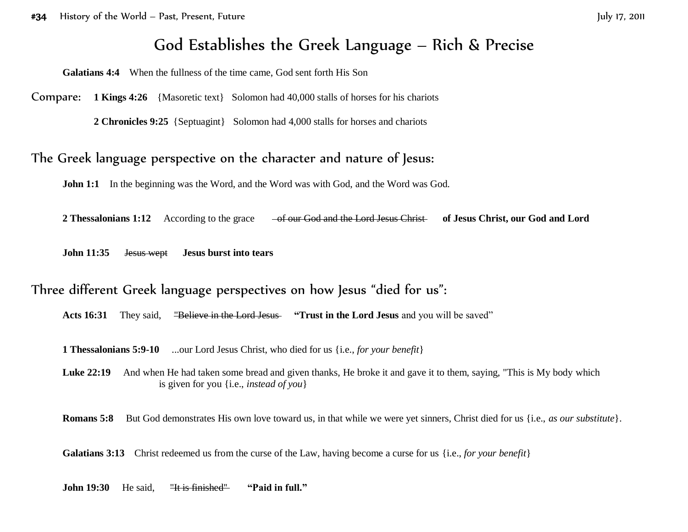# God Establishes the Greek Language – Rich & Precise

**Galatians 4:4** When the fullness of the time came, God sent forth His Son

Compare: **1 Kings 4:26** {Masoretic text} Solomon had 40,000 stalls of horses for his chariots

**2 Chronicles 9:25** {Septuagint} Solomon had 4,000 stalls for horses and chariots

#### The Greek language perspective on the character and nature of Jesus:

**John 1:1** In the beginning was the Word, and the Word was with God, and the Word was God.

2 Thessalonians 1:12 According to the grace <del>of our God and the Lord Jesus Christ</del> of Jesus Christ, our God and Lord

**John 11:35** Jesus wept **Jesus burst into tears**

### Three different Greek language perspectives on how Jesus "died for us":

**Acts 16:31** They said, "Believe in the Lord Jesus **"Trust in the Lord Jesus** and you will be saved"

**1 Thessalonians 5:9-10** ...our Lord Jesus Christ, who died for us {i.e., *for your benefit*}

Luke 22:19 And when He had taken some bread and given thanks, He broke it and gave it to them, saying, "This is My body which is given for you {i.e., *instead of you*}

**Romans 5:8** But God demonstrates His own love toward us, in that while we were yet sinners, Christ died for us {i.e., *as our substitute*}.

**Galatians 3:13** Christ redeemed us from the curse of the Law, having become a curse for us {i.e., *for your benefit*}

**John 19:30** He said, "It is finished'' **"Paid in full."**